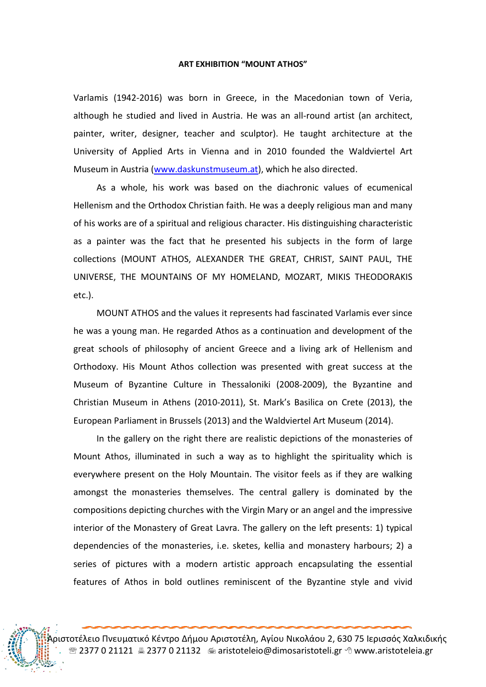## ART EXHIBITION "MOUNT ATHOS"

Varlamis (1942-2016) was born in Greece, in the Macedonian town of Veria, although he studied and lived in Austria. He was an all-round artist (an architect, painter, writer, designer, teacher and sculptor). He taught architecture at the University of Applied Arts in Vienna and in 2010 founded the Waldviertel Art Museum in Austria (www.daskunstmuseum.at), which he also directed.

As a whole, his work was based on the diachronic values of ecumenical Hellenism and the Orthodox Christian faith. He was a deeply religious man and many of his works are of a spiritual and religious character. His distinguishing characteristic as a painter was the fact that he presented his subjects in the form of large collections (MOUNT ATHOS, ALEXANDER THE GREAT, CHRIST, SAINT PAUL, THE UNIVERSE, THE MOUNTAINS OF MY HOMELAND, MOZART, MIKIS THEODORAKIS etc.).

MOUNT ATHOS and the values it represents had fascinated Varlamis ever since he was a young man. He regarded Athos as a continuation and development of the great schools of philosophy of ancient Greece and a living ark of Hellenism and Orthodoxy. His Mount Athos collection was presented with great success at the Museum of Byzantine Culture in Thessaloniki (2008-2009), the Byzantine and Christian Museum in Athens (2010-2011), St. Mark's Basilica on Crete (2013), the European Parliament in Brussels (2013) and the Waldviertel Art Museum (2014).

In the gallery on the right there are realistic depictions of the monasteries of Mount Athos, illuminated in such a way as to highlight the spirituality which is everywhere present on the Holy Mountain. The visitor feels as if they are walking amongst the monasteries themselves. The central gallery is dominated by the compositions depicting churches with the Virgin Mary or an angel and the impressive interior of the Monastery of Great Lavra. The gallery on the left presents: 1) typical dependencies of the monasteries, i.e. sketes, kellia and monastery harbours; 2) a series of pictures with a modern artistic approach encapsulating the essential features of Athos in bold outlines reminiscent of the Byzantine style and vivid

Αριστοτέλειο Πνευματικό Κέντρο Δήμου Αριστοτέλη, Αγίου Νικολάου 2, 630 75 Ιερισσός Χαλκιδικής 2377 0 21121 2377 0 21132 aristoteleio@dimosaristoteli.gr www.aristoteleia.gr